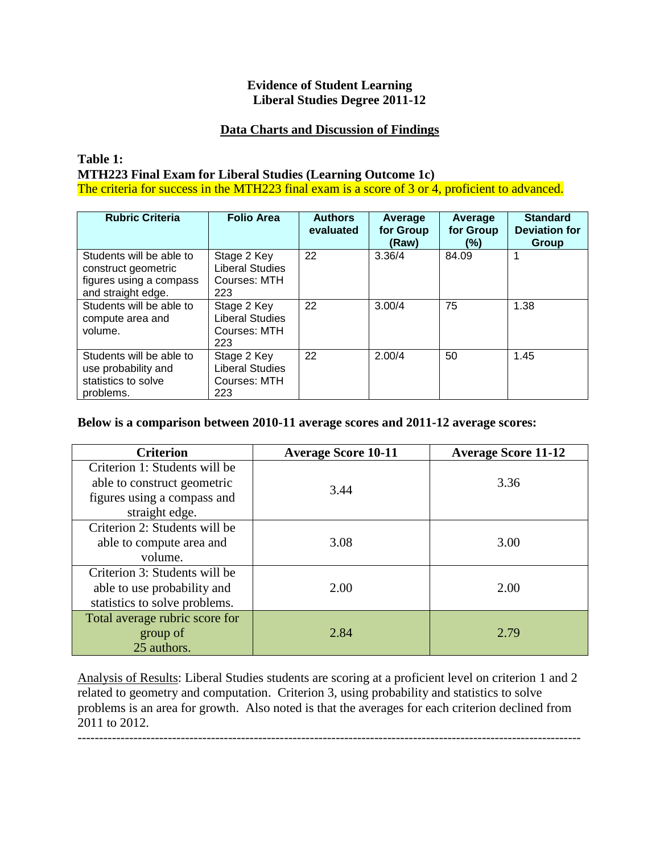## **Evidence of Student Learning Liberal Studies Degree 2011-12**

# **Data Charts and Discussion of Findings**

## **Table 1: MTH223 Final Exam for Liberal Studies (Learning Outcome 1c)** The criteria for success in the MTH223 final exam is a score of 3 or 4, proficient to advanced.

| <b>Rubric Criteria</b>                                                                           | <b>Folio Area</b>                                            | <b>Authors</b><br>evaluated | Average<br>for Group | Average<br>for Group | <b>Standard</b><br><b>Deviation for</b> |
|--------------------------------------------------------------------------------------------------|--------------------------------------------------------------|-----------------------------|----------------------|----------------------|-----------------------------------------|
|                                                                                                  |                                                              |                             | (Raw)                | (%)                  | <b>Group</b>                            |
| Students will be able to<br>construct geometric<br>figures using a compass<br>and straight edge. | Stage 2 Key<br><b>Liberal Studies</b><br>Courses: MTH<br>223 | 22                          | 3.36/4               | 84.09                |                                         |
| Students will be able to<br>compute area and<br>volume.                                          | Stage 2 Key<br>Liberal Studies<br>Courses: MTH<br>223        | 22                          | 3.00/4               | 75                   | 1.38                                    |
| Students will be able to<br>use probability and<br>statistics to solve<br>problems.              | Stage 2 Key<br>Liberal Studies<br>Courses: MTH<br>223        | 22                          | 2.00/4               | 50                   | 1.45                                    |

## **Below is a comparison between 2010-11 average scores and 2011-12 average scores:**

| <b>Criterion</b>               | <b>Average Score 10-11</b> | <b>Average Score 11-12</b> |
|--------------------------------|----------------------------|----------------------------|
| Criterion 1: Students will be  |                            |                            |
| able to construct geometric    | 3.44                       | 3.36                       |
| figures using a compass and    |                            |                            |
| straight edge.                 |                            |                            |
| Criterion 2: Students will be  |                            |                            |
| able to compute area and       | 3.08                       | 3.00                       |
| volume.                        |                            |                            |
| Criterion 3: Students will be  |                            |                            |
| able to use probability and    | 2.00                       | 2.00                       |
| statistics to solve problems.  |                            |                            |
| Total average rubric score for |                            |                            |
| group of                       | 2.84                       | 2.79                       |
| 25 authors.                    |                            |                            |

Analysis of Results: Liberal Studies students are scoring at a proficient level on criterion 1 and 2 related to geometry and computation. Criterion 3, using probability and statistics to solve problems is an area for growth. Also noted is that the averages for each criterion declined from 2011 to 2012.

---------------------------------------------------------------------------------------------------------------------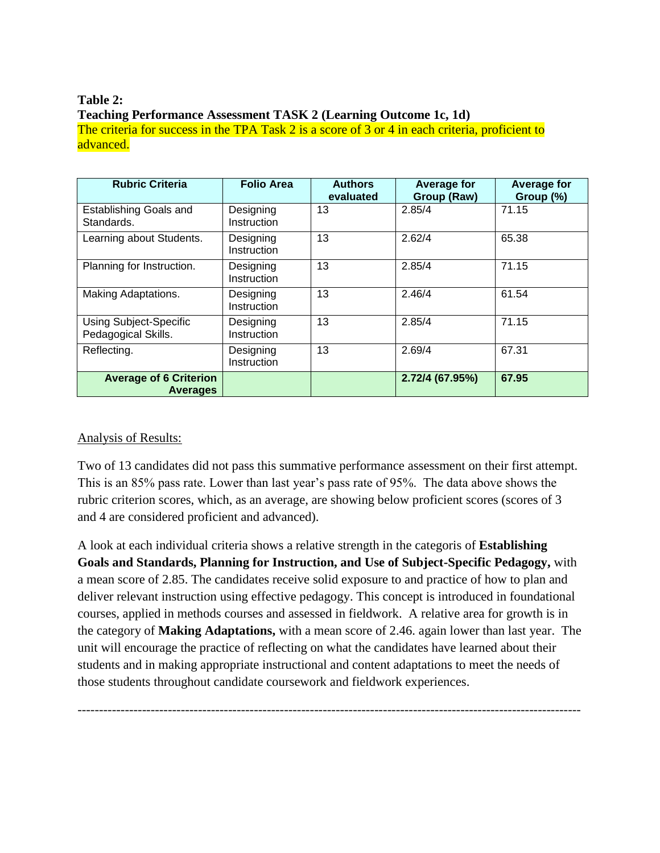# **Table 2: Teaching Performance Assessment TASK 2 (Learning Outcome 1c, 1d)**

The criteria for success in the TPA Task 2 is a score of 3 or 4 in each criteria, proficient to advanced.

| <b>Rubric Criteria</b>                               | <b>Folio Area</b>        | <b>Authors</b><br>evaluated | <b>Average for</b><br>Group (Raw) | <b>Average for</b><br>Group (%) |
|------------------------------------------------------|--------------------------|-----------------------------|-----------------------------------|---------------------------------|
| <b>Establishing Goals and</b><br>Standards.          | Designing<br>Instruction | 13                          | 2.85/4                            | 71.15                           |
| Learning about Students.                             | Designing<br>Instruction | 13                          | 2.62/4                            | 65.38                           |
| Planning for Instruction.                            | Designing<br>Instruction | 13                          | 2.85/4                            | 71.15                           |
| Making Adaptations.                                  | Designing<br>Instruction | 13                          | 2.46/4                            | 61.54                           |
| <b>Using Subject-Specific</b><br>Pedagogical Skills. | Designing<br>Instruction | 13                          | 2.85/4                            | 71.15                           |
| Reflecting.                                          | Designing<br>Instruction | 13                          | 2.69/4                            | 67.31                           |
| <b>Average of 6 Criterion</b><br><b>Averages</b>     |                          |                             | 2.72/4 (67.95%)                   | 67.95                           |

# Analysis of Results:

Two of 13 candidates did not pass this summative performance assessment on their first attempt. This is an 85% pass rate. Lower than last year's pass rate of 95%. The data above shows the rubric criterion scores, which, as an average, are showing below proficient scores (scores of 3 and 4 are considered proficient and advanced).

A look at each individual criteria shows a relative strength in the categoris of **Establishing Goals and Standards, Planning for Instruction, and Use of Subject-Specific Pedagogy,** with a mean score of 2.85. The candidates receive solid exposure to and practice of how to plan and deliver relevant instruction using effective pedagogy. This concept is introduced in foundational courses, applied in methods courses and assessed in fieldwork. A relative area for growth is in the category of **Making Adaptations,** with a mean score of 2.46. again lower than last year. The unit will encourage the practice of reflecting on what the candidates have learned about their students and in making appropriate instructional and content adaptations to meet the needs of those students throughout candidate coursework and fieldwork experiences.

---------------------------------------------------------------------------------------------------------------------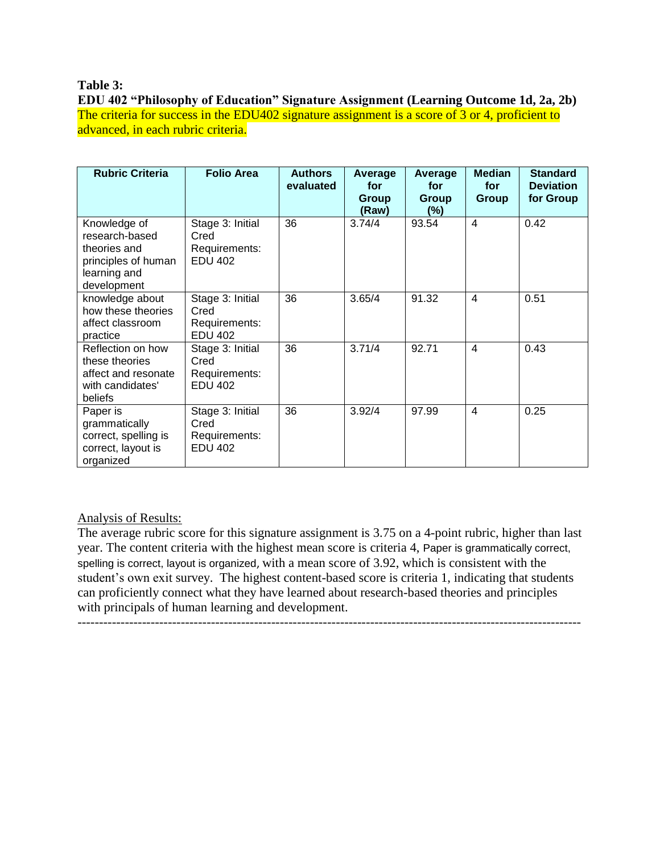## **Table 3:**

**EDU 402 "Philosophy of Education" Signature Assignment (Learning Outcome 1d, 2a, 2b)** The criteria for success in the EDU402 signature assignment is a score of 3 or 4, proficient to advanced, in each rubric criteria.

| <b>Rubric Criteria</b>                                                                               | <b>Folio Area</b>                                           | <b>Authors</b><br>evaluated | Average<br>for<br>Group<br>(Raw) | Average<br>for<br>Group<br>(%) | <b>Median</b><br>for<br><b>Group</b> | <b>Standard</b><br><b>Deviation</b><br>for Group |
|------------------------------------------------------------------------------------------------------|-------------------------------------------------------------|-----------------------------|----------------------------------|--------------------------------|--------------------------------------|--------------------------------------------------|
| Knowledge of<br>research-based<br>theories and<br>principles of human<br>learning and<br>development | Stage 3: Initial<br>Cred<br>Requirements:<br><b>EDU 402</b> | 36                          | 3.74/4                           | 93.54                          | $\overline{4}$                       | 0.42                                             |
| knowledge about<br>how these theories<br>affect classroom<br>practice                                | Stage 3: Initial<br>Cred<br>Requirements:<br><b>EDU 402</b> | 36                          | 3.65/4                           | 91.32                          | 4                                    | 0.51                                             |
| Reflection on how<br>these theories<br>affect and resonate<br>with candidates'<br>beliefs            | Stage 3: Initial<br>Cred<br>Requirements:<br><b>EDU 402</b> | 36                          | 3.71/4                           | 92.71                          | $\overline{4}$                       | 0.43                                             |
| Paper is<br>grammatically<br>correct, spelling is<br>correct, layout is<br>organized                 | Stage 3: Initial<br>Cred<br>Requirements:<br><b>EDU 402</b> | 36                          | 3.92/4                           | 97.99                          | 4                                    | 0.25                                             |

# Analysis of Results:

The average rubric score for this signature assignment is 3.75 on a 4-point rubric, higher than last year. The content criteria with the highest mean score is criteria 4, Paper is grammatically correct, spelling is correct, layout is organized, with a mean score of 3.92, which is consistent with the student's own exit survey. The highest content-based score is criteria 1, indicating that students can proficiently connect what they have learned about research-based theories and principles with principals of human learning and development.

---------------------------------------------------------------------------------------------------------------------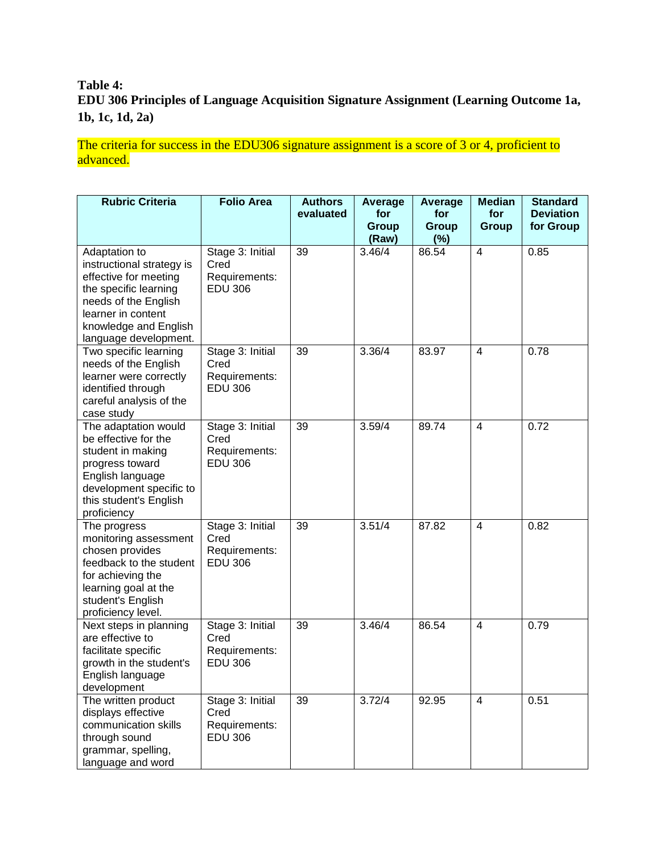# **Table 4: EDU 306 Principles of Language Acquisition Signature Assignment (Learning Outcome 1a, 1b, 1c, 1d, 2a)**

The criteria for success in the EDU306 signature assignment is a score of 3 or 4, proficient to advanced.

| <b>Rubric Criteria</b>                                                                                                                                                                       | <b>Folio Area</b>                                           | <b>Authors</b><br>evaluated | <b>Average</b><br>for<br><b>Group</b> | Average<br>for<br><b>Group</b> | <b>Median</b><br>for<br><b>Group</b> | <b>Standard</b><br><b>Deviation</b><br>for Group |
|----------------------------------------------------------------------------------------------------------------------------------------------------------------------------------------------|-------------------------------------------------------------|-----------------------------|---------------------------------------|--------------------------------|--------------------------------------|--------------------------------------------------|
|                                                                                                                                                                                              |                                                             |                             | (Raw)                                 | $(\%)$                         |                                      |                                                  |
| Adaptation to<br>instructional strategy is<br>effective for meeting<br>the specific learning<br>needs of the English<br>learner in content<br>knowledge and English<br>language development. | Stage 3: Initial<br>Cred<br>Requirements:<br><b>EDU 306</b> | 39                          | 3.46/4                                | 86.54                          | $\overline{4}$                       | 0.85                                             |
| Two specific learning<br>needs of the English<br>learner were correctly<br>identified through<br>careful analysis of the<br>case study                                                       | Stage 3: Initial<br>Cred<br>Requirements:<br><b>EDU 306</b> | 39                          | 3.36/4                                | 83.97                          | $\overline{4}$                       | 0.78                                             |
| The adaptation would<br>be effective for the<br>student in making<br>progress toward<br>English language<br>development specific to<br>this student's English<br>proficiency                 | Stage 3: Initial<br>Cred<br>Requirements:<br><b>EDU 306</b> | 39                          | 3.59/4                                | 89.74                          | $\overline{4}$                       | 0.72                                             |
| The progress<br>monitoring assessment<br>chosen provides<br>feedback to the student<br>for achieving the<br>learning goal at the<br>student's English<br>proficiency level.                  | Stage 3: Initial<br>Cred<br>Requirements:<br><b>EDU 306</b> | 39                          | 3.51/4                                | 87.82                          | $\overline{4}$                       | 0.82                                             |
| Next steps in planning<br>are effective to<br>facilitate specific<br>growth in the student's<br>English language<br>development                                                              | Stage 3: Initial<br>Cred<br>Requirements:<br><b>EDU 306</b> | 39                          | 3.46/4                                | 86.54                          | 4                                    | 0.79                                             |
| The written product<br>displays effective<br>communication skills<br>through sound<br>grammar, spelling,<br>language and word                                                                | Stage 3: Initial<br>Cred<br>Requirements:<br><b>EDU 306</b> | 39                          | 3.72/4                                | 92.95                          | $\overline{4}$                       | 0.51                                             |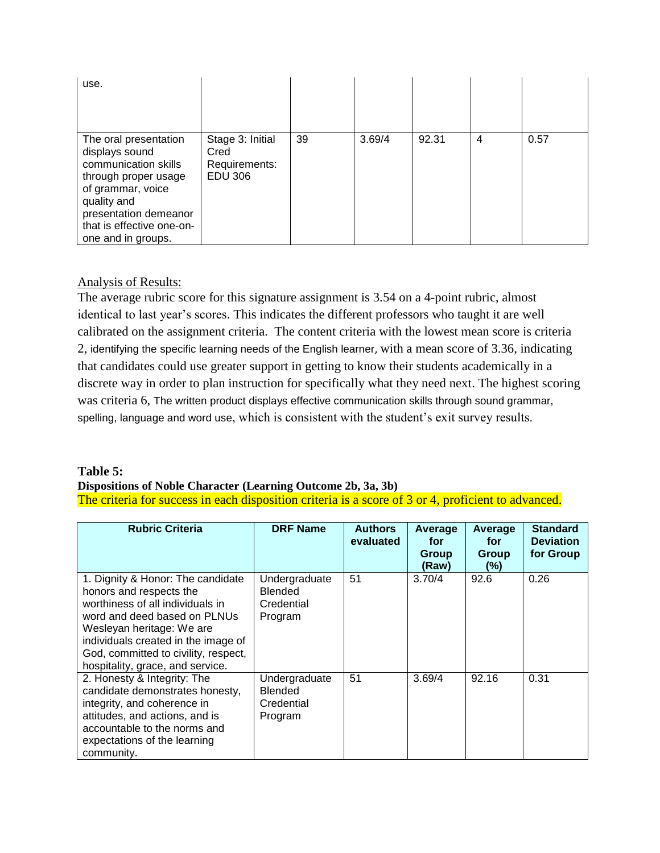| use.                                                                                                                                                                                                    |                                                             |    |        |       |   |      |
|---------------------------------------------------------------------------------------------------------------------------------------------------------------------------------------------------------|-------------------------------------------------------------|----|--------|-------|---|------|
| The oral presentation<br>displays sound<br>communication skills<br>through proper usage<br>of grammar, voice<br>quality and<br>presentation demeanor<br>that is effective one-on-<br>one and in groups. | Stage 3: Initial<br>Cred<br>Requirements:<br><b>EDU 306</b> | 39 | 3.69/4 | 92.31 | 4 | 0.57 |

# Analysis of Results:

The average rubric score for this signature assignment is 3.54 on a 4-point rubric, almost identical to last year's scores. This indicates the different professors who taught it are well calibrated on the assignment criteria. The content criteria with the lowest mean score is criteria 2, identifying the specific learning needs of the English learner, with a mean score of 3.36, indicating that candidates could use greater support in getting to know their students academically in a discrete way in order to plan instruction for specifically what they need next. The highest scoring was criteria 6, The written product displays effective communication skills through sound grammar, spelling, language and word use, which is consistent with the student's exit survey results.

## **Table 5: Dispositions of Noble Character (Learning Outcome 2b, 3a, 3b)** The criteria for success in each disposition criteria is a score of 3 or 4, proficient to advanced.

| <b>Rubric Criteria</b>                                                                                                                                                                                                                                                           | <b>DRF Name</b>                                   | <b>Authors</b><br>evaluated | Average<br>for<br>Group<br>(Raw) | Average<br>for<br>Group<br>(%) | <b>Standard</b><br><b>Deviation</b><br>for Group |
|----------------------------------------------------------------------------------------------------------------------------------------------------------------------------------------------------------------------------------------------------------------------------------|---------------------------------------------------|-----------------------------|----------------------------------|--------------------------------|--------------------------------------------------|
| 1. Dignity & Honor: The candidate<br>honors and respects the<br>worthiness of all individuals in<br>word and deed based on PLNUs<br>Wesleyan heritage: We are<br>individuals created in the image of<br>God, committed to civility, respect,<br>hospitality, grace, and service. | Undergraduate<br>Blended<br>Credential<br>Program | 51                          | 3.70/4                           | 92.6                           | 0.26                                             |
| 2. Honesty & Integrity: The<br>candidate demonstrates honesty,<br>integrity, and coherence in<br>attitudes, and actions, and is<br>accountable to the norms and<br>expectations of the learning<br>community.                                                                    | Undergraduate<br>Blended<br>Credential<br>Program | 51                          | 3.69/4                           | 92.16                          | 0.31                                             |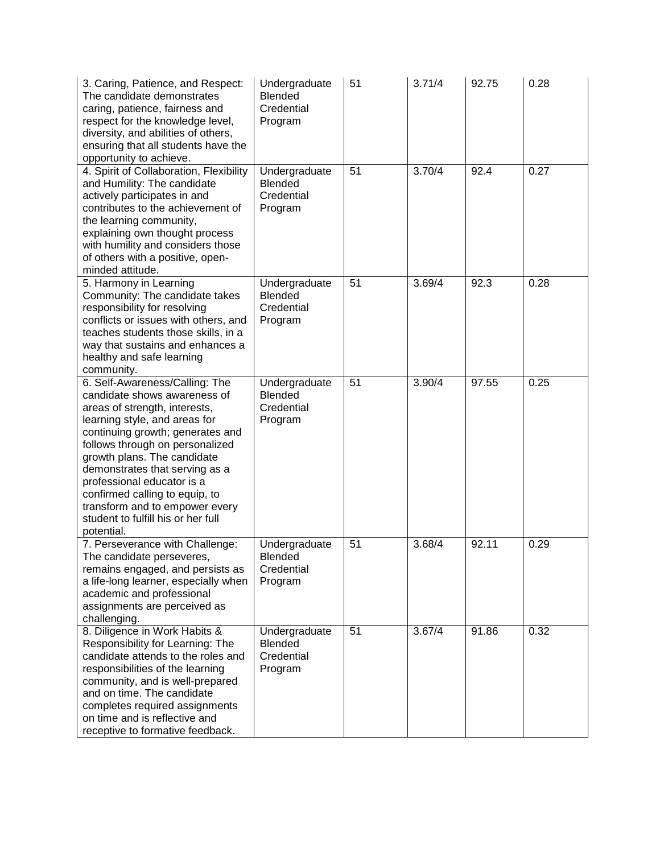| 3. Caring, Patience, and Respect:<br>The candidate demonstrates<br>caring, patience, fairness and<br>respect for the knowledge level,<br>diversity, and abilities of others,<br>ensuring that all students have the<br>opportunity to achieve.                                                                                                                                                                                 | Undergraduate<br>Blended<br>Credential<br>Program | 51 | 3.71/4 | 92.75 | 0.28 |
|--------------------------------------------------------------------------------------------------------------------------------------------------------------------------------------------------------------------------------------------------------------------------------------------------------------------------------------------------------------------------------------------------------------------------------|---------------------------------------------------|----|--------|-------|------|
| 4. Spirit of Collaboration, Flexibility<br>and Humility: The candidate<br>actively participates in and<br>contributes to the achievement of<br>the learning community,<br>explaining own thought process<br>with humility and considers those<br>of others with a positive, open-<br>minded attitude.                                                                                                                          | Undergraduate<br>Blended<br>Credential<br>Program | 51 | 3.70/4 | 92.4  | 0.27 |
| 5. Harmony in Learning<br>Community: The candidate takes<br>responsibility for resolving<br>conflicts or issues with others, and<br>teaches students those skills, in a<br>way that sustains and enhances a<br>healthy and safe learning<br>community.                                                                                                                                                                         | Undergraduate<br>Blended<br>Credential<br>Program | 51 | 3.69/4 | 92.3  | 0.28 |
| 6. Self-Awareness/Calling: The<br>candidate shows awareness of<br>areas of strength, interests,<br>learning style, and areas for<br>continuing growth; generates and<br>follows through on personalized<br>growth plans. The candidate<br>demonstrates that serving as a<br>professional educator is a<br>confirmed calling to equip, to<br>transform and to empower every<br>student to fulfill his or her full<br>potential. | Undergraduate<br>Blended<br>Credential<br>Program | 51 | 3.90/4 | 97.55 | 0.25 |
| 7. Perseverance with Challenge:<br>The candidate perseveres,<br>remains engaged, and persists as<br>a life-long learner, especially when<br>academic and professional<br>assignments are perceived as<br>challenging.                                                                                                                                                                                                          | Undergraduate<br>Blended<br>Credential<br>Program | 51 | 3.68/4 | 92.11 | 0.29 |
| 8. Diligence in Work Habits &<br>Responsibility for Learning: The<br>candidate attends to the roles and<br>responsibilities of the learning<br>community, and is well-prepared<br>and on time. The candidate<br>completes required assignments<br>on time and is reflective and<br>receptive to formative feedback.                                                                                                            | Undergraduate<br>Blended<br>Credential<br>Program | 51 | 3.67/4 | 91.86 | 0.32 |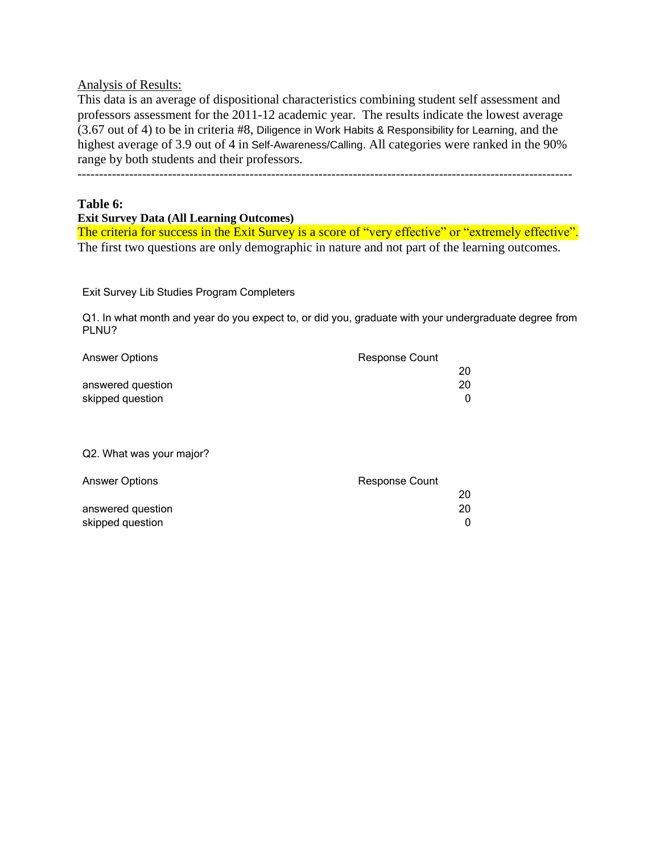Analysis of Results:

This data is an average of dispositional characteristics combining student self assessment and professors assessment for the 2011-12 academic year. The results indicate the lowest average (3.67 out of 4) to be in criteria #8, Diligence in Work Habits & Responsibility for Learning, and the highest average of 3.9 out of 4 in Self-Awareness/Calling. All categories were ranked in the 90% range by both students and their professors.

-------------------------------------------------------------------------------------------------------------------

#### **Table 6:**

**Exit Survey Data (All Learning Outcomes)**

The criteria for success in the Exit Survey is a score of "very effective" or "extremely effective". The first two questions are only demographic in nature and not part of the learning outcomes.

Exit Survey Lib Studies Program Completers

Q1. In what month and year do you expect to, or did you, graduate with your undergraduate degree from PLNU?

| <b>Answer Options</b> | <b>Response Count</b> |
|-----------------------|-----------------------|
|                       | 20                    |
| answered question     | 20                    |
| skipped question      |                       |

#### Q2. What was your major?

| <b>Answer Options</b> | <b>Response Count</b> |
|-----------------------|-----------------------|
|                       | 20                    |
| answered question     | 20                    |
| skipped question      |                       |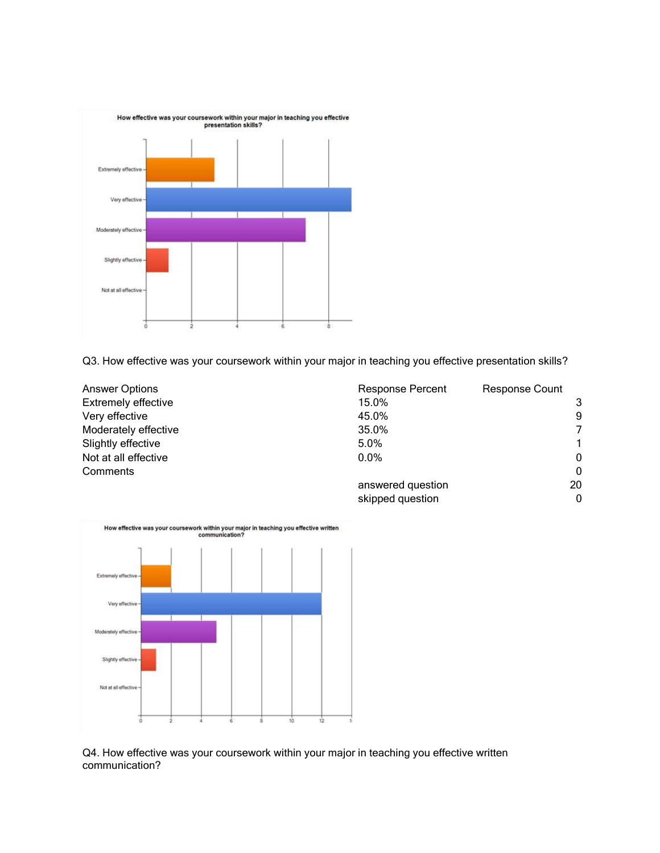

Q3. How effective was your coursework within your major in teaching you effective presentation skills?

| Answer Options       | <b>Response Percent</b> | <b>Response Count</b> |
|----------------------|-------------------------|-----------------------|
| Extremely effective  | 15.0%                   | 3                     |
| Very effective       | 45.0%                   | 9                     |
| Moderately effective | 35.0%                   | 7                     |
| Slightly effective   | $5.0\%$                 | 1                     |
| Not at all effective | $0.0\%$                 | $\mathbf{0}$          |
| Comments             |                         | $\Omega$              |
|                      | answered question       | 20                    |
|                      | skipped question        | $\Omega$              |



Q4. How effective was your coursework within your major in teaching you effective written communication?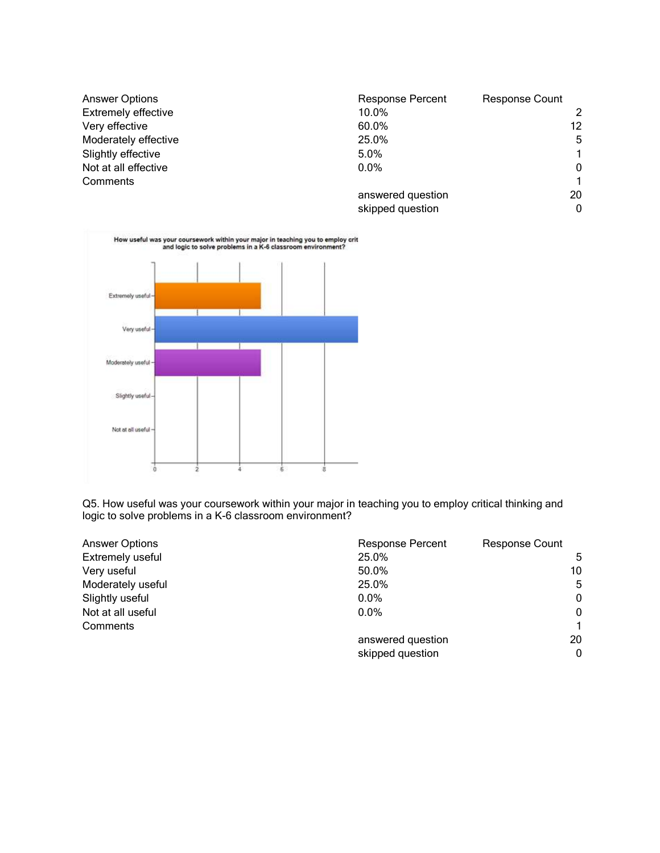| <b>Answer Options</b>      | <b>Response Percent</b> | <b>Response Count</b> |
|----------------------------|-------------------------|-----------------------|
| <b>Extremely effective</b> | 10.0%                   | 2                     |
| Very effective             | 60.0%                   | 12 <sup>°</sup>       |
| Moderately effective       | 25.0%                   | 5                     |
| Slightly effective         | $5.0\%$                 | $\mathbf 1$           |
| Not at all effective       | $0.0\%$                 | $\mathbf{0}$          |
| Comments                   |                         |                       |
|                            | answered question       | 20                    |
|                            | skipped question        | $\mathbf{0}$          |



Q5. How useful was your coursework within your major in teaching you to employ critical thinking and logic to solve problems in a K-6 classroom environment?

| <b>Answer Options</b> | <b>Response Percent</b> | <b>Response Count</b> |
|-----------------------|-------------------------|-----------------------|
| Extremely useful      | 25.0%                   | 5                     |
| Very useful           | 50.0%                   | 10                    |
| Moderately useful     | 25.0%                   | 5                     |
| Slightly useful       | $0.0\%$                 | $\mathbf{0}$          |
| Not at all useful     | $0.0\%$                 | $\Omega$              |
| Comments              |                         | 1.                    |
|                       | answered question       | 20                    |
|                       | skipped question        | $\Omega$              |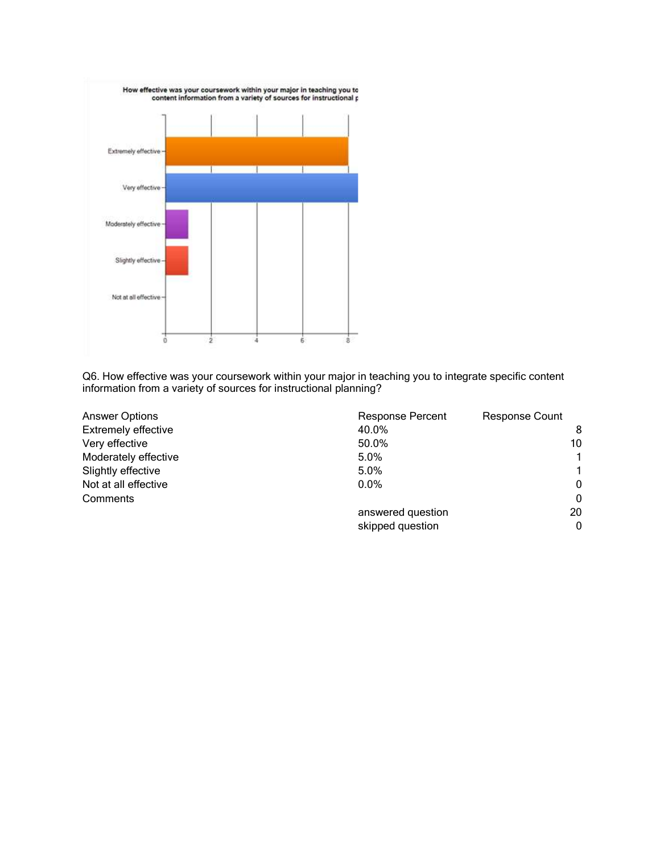

Q6. How effective was your coursework within your major in teaching you to integrate specific content information from a variety of sources for instructional planning?

| <b>Answer Options</b>      | <b>Response Percent</b> | <b>Response Count</b> |
|----------------------------|-------------------------|-----------------------|
| <b>Extremely effective</b> | 40.0%                   | 8                     |
| Very effective             | 50.0%                   | 10                    |
| Moderately effective       | 5.0%                    |                       |
| Slightly effective         | 5.0%                    |                       |
| Not at all effective       | $0.0\%$                 | 0                     |
| Comments                   |                         | $\Omega$              |
|                            | answered question       | 20                    |
|                            | skipped question        | $\Omega$              |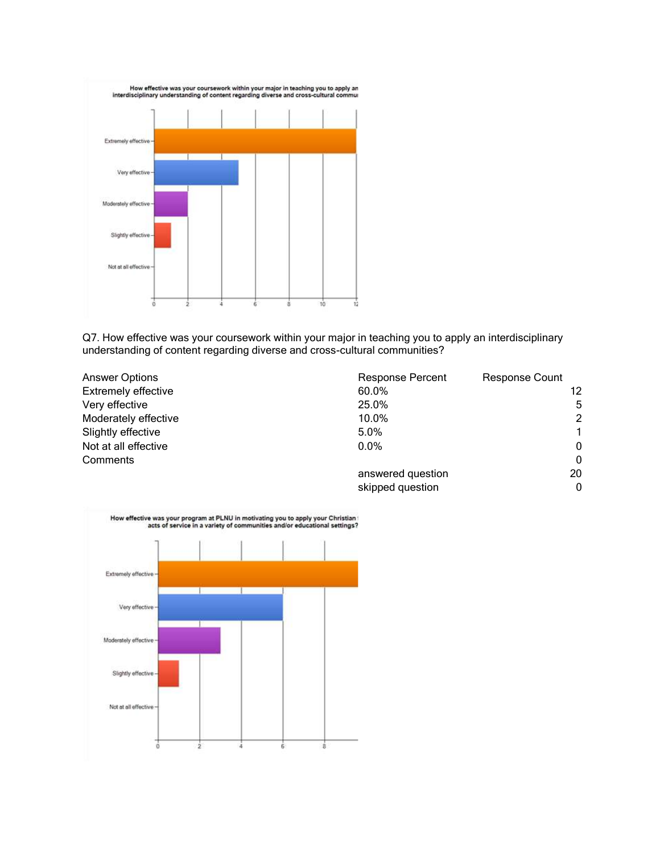

Q7. How effective was your coursework within your major in teaching you to apply an interdisciplinary understanding of content regarding diverse and cross-cultural communities?

| <b>Answer Options</b>      | <b>Response Percent</b> | <b>Response Count</b> |
|----------------------------|-------------------------|-----------------------|
| <b>Extremely effective</b> | 60.0%                   | 12                    |
| Very effective             | 25.0%                   | 5                     |
| Moderately effective       | 10.0%                   | $\mathcal{P}$         |
| Slightly effective         | $5.0\%$                 | 1                     |
| Not at all effective       | $0.0\%$                 | $\mathbf{0}$          |
| Comments                   |                         | $\Omega$              |
|                            | answered question       | 20                    |
|                            | skipped question        | 0                     |

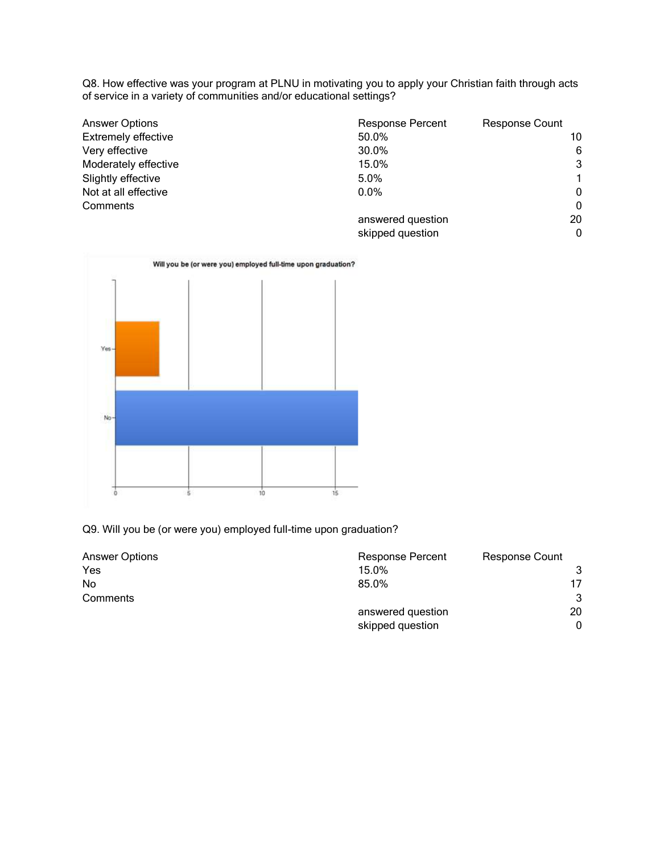Q8. How effective was your program at PLNU in motivating you to apply your Christian faith through acts of service in a variety of communities and/or educational settings?

| <b>Answer Options</b>      | <b>Response Percent</b> | <b>Response Count</b> |
|----------------------------|-------------------------|-----------------------|
| <b>Extremely effective</b> | 50.0%                   | 10                    |
| Very effective             | 30.0%                   | 6                     |
| Moderately effective       | 15.0%                   | 3                     |
| Slightly effective         | $5.0\%$                 |                       |
| Not at all effective       | $0.0\%$                 | $\mathbf{0}$          |
| Comments                   |                         | $\Omega$              |
|                            | answered question       | 20                    |
|                            | skipped question        | $\Omega$              |



Q9. Will you be (or were you) employed full-time upon graduation?

| <b>Answer Options</b> | <b>Response Percent</b> | <b>Response Count</b> |
|-----------------------|-------------------------|-----------------------|
| Yes                   | 15.0%                   |                       |
| <b>No</b>             | 85.0%                   | 17                    |
| Comments              |                         | 3                     |
|                       | answered question       | 20                    |
|                       | skipped question        | 0                     |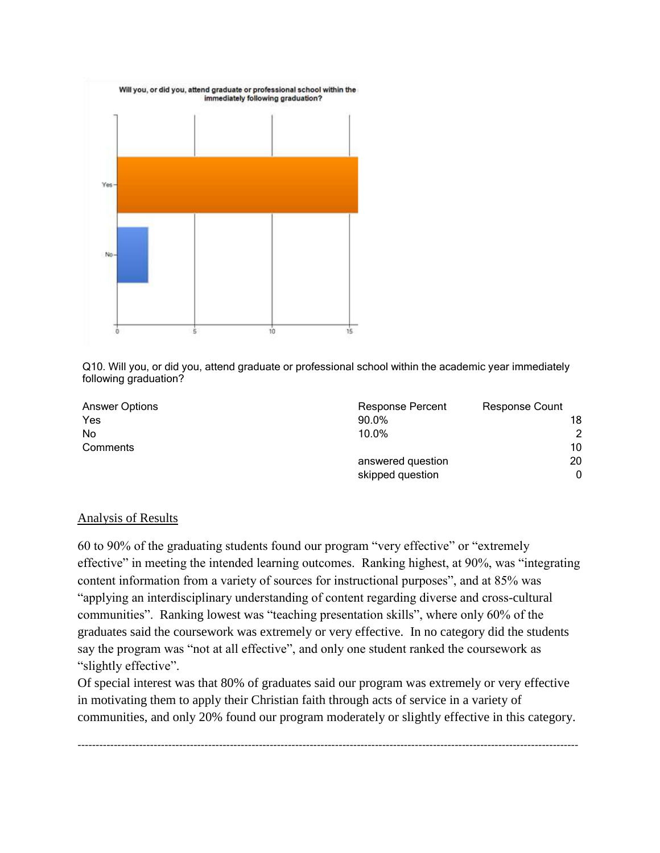

Q10. Will you, or did you, attend graduate or professional school within the academic year immediately following graduation?

| <b>Answer Options</b> | <b>Response Percent</b> | <b>Response Count</b> |
|-----------------------|-------------------------|-----------------------|
| Yes                   | 90.0%                   | 18                    |
| No                    | 10.0%                   | 2                     |
| Comments              |                         | 10                    |
|                       | answered question       | 20                    |
|                       | skipped question        | 0                     |

### Analysis of Results

60 to 90% of the graduating students found our program "very effective" or "extremely effective" in meeting the intended learning outcomes. Ranking highest, at 90%, was "integrating content information from a variety of sources for instructional purposes", and at 85% was "applying an interdisciplinary understanding of content regarding diverse and cross-cultural communities". Ranking lowest was "teaching presentation skills", where only 60% of the graduates said the coursework was extremely or very effective. In no category did the students say the program was "not at all effective", and only one student ranked the coursework as "slightly effective".

Of special interest was that 80% of graduates said our program was extremely or very effective in motivating them to apply their Christian faith through acts of service in a variety of communities, and only 20% found our program moderately or slightly effective in this category.

------------------------------------------------------------------------------------------------------------------------------------------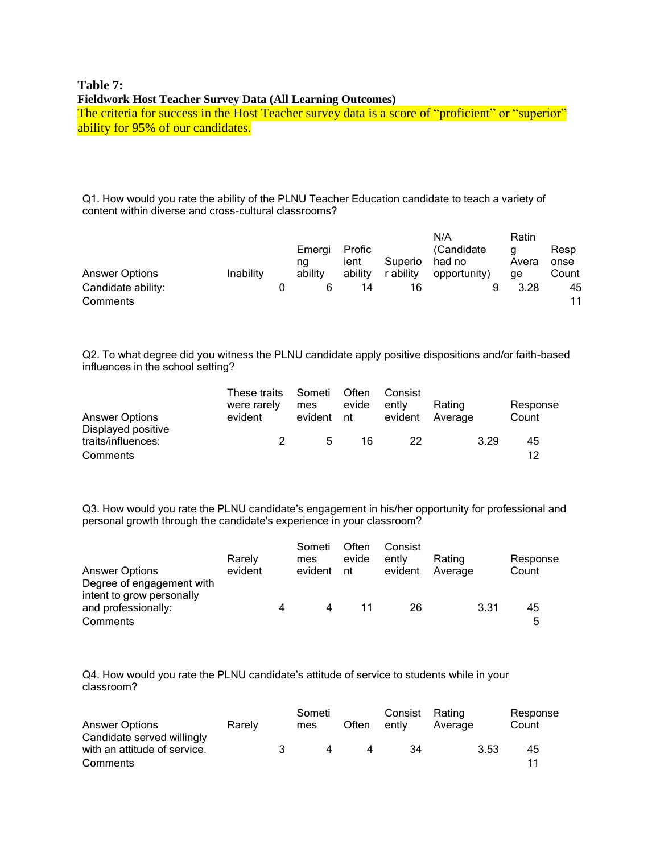# **Table 7: Fieldwork Host Teacher Survey Data (All Learning Outcomes)**

The criteria for success in the Host Teacher survey data is a score of "proficient" or "superior" ability for 95% of our candidates.

Q1. How would you rate the ability of the PLNU Teacher Education candidate to teach a variety of content within diverse and cross-cultural classrooms?

|                                |                  |                         |                           |                      | N/A                                   | Ratin            |                       |
|--------------------------------|------------------|-------------------------|---------------------------|----------------------|---------------------------------------|------------------|-----------------------|
| <b>Answer Options</b>          | <b>Inability</b> | Emergi<br>ng<br>ability | Profic<br>ient<br>ability | Superio<br>r abilitv | (Candidate)<br>had no<br>opportunity) | a<br>Avera<br>ae | Resp<br>onse<br>Count |
| Candidate ability:<br>Comments |                  |                         | 14                        | 16                   |                                       | 3.28             | 45<br>11              |

Q2. To what degree did you witness the PLNU candidate apply positive dispositions and/or faith-based influences in the school setting?

| <b>Answer Options</b>                                | These traits<br>were rarely<br>evident | Someti<br>mes<br>evident | Often<br>evide<br>nt | Consist<br>ently<br>evident | Rating<br>Average | Response<br>Count |
|------------------------------------------------------|----------------------------------------|--------------------------|----------------------|-----------------------------|-------------------|-------------------|
| Displayed positive<br>traits/influences:<br>Comments |                                        | 5                        | 16                   | 22                          | 3.29              | 45<br>12          |

Q3. How would you rate the PLNU candidate's engagement in his/her opportunity for professional and personal growth through the candidate's experience in your classroom?

| <b>Answer Options</b>                                                                     | Rarely<br>evident | Someti<br>mes<br>evident | Often<br>evide<br>nt | Consist<br>ently<br>evident | Rating<br>Average | Response<br>Count |
|-------------------------------------------------------------------------------------------|-------------------|--------------------------|----------------------|-----------------------------|-------------------|-------------------|
| Degree of engagement with<br>intent to grow personally<br>and professionally:<br>Comments |                   | 4                        |                      | 26                          | 3.31              | 45<br>5           |

Q4. How would you rate the PLNU candidate's attitude of service to students while in your classroom?

| <b>Answer Options</b>                                                  | Rarely |    | Someti<br>mes | Often | Consist<br>ently | Rating<br>Average | Response<br>Count |
|------------------------------------------------------------------------|--------|----|---------------|-------|------------------|-------------------|-------------------|
| Candidate served willingly<br>with an attitude of service.<br>Comments |        | З. | $\mathbf{A}$  |       | 34               | 3.53              | 45<br>11          |